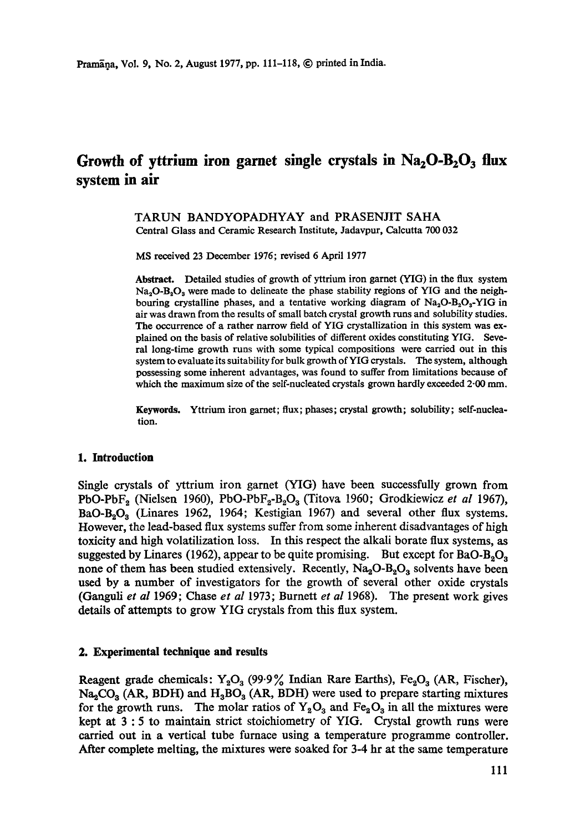# Growth of yttrium iron garnet single crystals in Na<sub>2</sub>O-B<sub>2</sub>O<sub>3</sub> flux **system in air**

## TARUN BANDYOPADHYAY and PRASENJIT SAHA Central Glass and Ceramic Research Institute, Jadavpur, Calcutta 700 032

MS received 23 December 1976; revised 6 April 1977

Abstract. Detailed studies of growth of yttrium iron garnet (YIG) in the flux system  $Na<sub>3</sub>O-B<sub>2</sub>O<sub>3</sub>$  were made to delineate the phase stability regions of YIG and the neighbouring crystalline phases, and a tentative working diagram of  $Na<sub>2</sub>O-B<sub>2</sub>O<sub>3</sub>-YIG$  in air was drawn from the results of small batch crystal growth runs and solubility studies. The occurrence of a rather narrow field of YIG crystallization in this system was explained on the basis of relative solubilities of different oxides constituting YIG. Several long-time growth runs with some typical compositions were carried out in this system to evaluate its suitability for bulk growth of YIG crystals. The system, although possessing some inherent advantages, was found to suffer from limitations because of which the maximum size of the self-nucleated crystals grown hardly exceeded 2.00 mm.

Keywords. Yttrium iron garnet; flux; phases; crystal growth; solubility; self-nucleation.

#### **1. Introduction**

Single crystals of yttrium iron garnet (YIG) have been successfully grown from PbO-PbF<sub>2</sub> (Nielsen 1960), PbO-PbF<sub>2</sub>-B<sub>2</sub>O<sub>3</sub> (Titova 1960; Grodkiewicz *et al* 1967),  $BaO-B<sub>2</sub>O<sub>3</sub>$  (Linares 1962, 1964; Kestigian 1967) and several other flux systems. However, the lead-based flux systems suffer from some inherent disadvantages of high toxicity and high volatilization loss. In this respect the alkali borate flux systems, as suggested by Linares (1962), appear to be quite promising. But except for  $BaO<sub>3</sub>O<sub>3</sub>$ none of them has been studied extensively. Recently,  $Na_2O-B_2O_3$  solvents have been used by a number of investigators for the growth of several other oxide crystals (Ganguli *et al* 1969; Chase *et al* 1973; Burnett *et al* 1968). The present work gives details of attempts to grow YIG crystals from this flux system.

#### **2. Experimental technique and results**

Reagent grade chemicals:  $Y_2O_3$  (99.9% Indian Rare Earths), Fe<sub>2</sub>O<sub>3</sub> (AR, Fischer),  $Na<sub>2</sub>CO<sub>3</sub>$  (AR, BDH) and  $H<sub>3</sub>BO<sub>3</sub>$  (AR, BDH) were used to prepare starting mixtures for the growth runs. The molar ratios of  $Y_2O_3$  and  $Fe_2O_3$  in all the mixtures were kept at 3 : 5 to maintain strict stoichiometry of YIG. Crystal growth runs were carried out in a vertical tube furnace using a temperature programme controller. After complete melting, the mixtures were soaked for 3-4 hr at the same temperature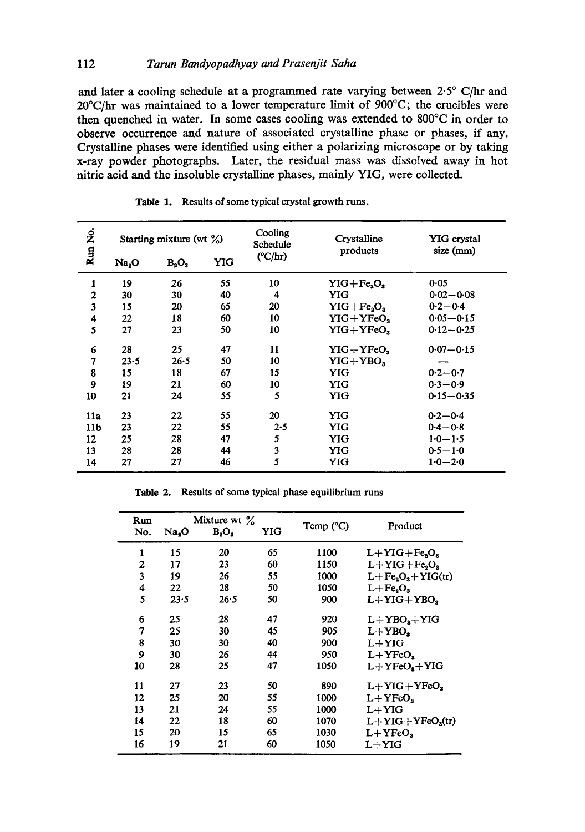# 112 *Tarun Bandyopadhyay and Prasenjit Saha*

and later a cooling schedule at a programmed rate varying between 2.5° C/hr and 20°C/hr was maintained to a lower temperature limit of 900°C; the crucibles were then quenched in water. In some eases cooling was extended to 800°C in order to observe occurrence and nature of associated crystalline phase or phases, if any. Crystalline phases were identified using either a polarizing microscope or by taking x-ray powder photographs. Later, the residual mass was dissolved away in hot nitric acid and the insoluble crystalline phases, mainly YIG, were collected.

| Run No.         | Starting mixture (wt $\%$ ) |          |     | Cooling<br>Schedule | Crystalline<br>products | YIG crystal<br>size (mm) |
|-----------------|-----------------------------|----------|-----|---------------------|-------------------------|--------------------------|
|                 | Na <sub>2</sub> O           | $B_2O_3$ | YIG | $(^{\circ}C/hr)$    |                         |                          |
| 1               | 19                          | 26       | 55  | 10                  | $YIG + FeaOa$           | 0.05                     |
| $\mathbf{z}$    | 30                          | 30       | 40  | 4                   | YIG                     | $0.02 - 0.08$            |
| 3               | 15                          | 20       | 65  | 20                  | $YIG + Fe_2O_3$         | $0.2 - 0.4$              |
| 4               | 22                          | 18       | 60  | 10                  | $YIG+YFeO3$             | $0.05 - 0.15$            |
| 5               | 27                          | 23       | 50  | 10                  | $YIG+YFeO2$             | $0.12 - 0.25$            |
| 6               | 28                          | 25       | 47  | 11                  | $YIG+YFeOs$             | $0.07 - 0.15$            |
| 7               | 23.5                        | $26 - 5$ | 50  | 10                  | $YIG+YBO,$              |                          |
| 8               | 15                          | 18       | 67  | 15                  | YIG                     | $0.2 - 0.7$              |
| 9               | 19                          | 21       | 60  | 10                  | YIG                     | $0.3 - 0.9$              |
| 10              | 21                          | 24       | 55  | 5                   | YIG                     | $0.15 - 0.35$            |
| 11a             | 23                          | 22       | 55  | 20                  | YIG                     | $0.2 - 0.4$              |
| 11 <sub>b</sub> | 23                          | 22       | 55  | 2.5                 | YIG                     | $0.4 - 0.8$              |
| 12              | 25                          | 28       | 47  | 5                   | YIG                     | $1.0 - 1.5$              |
| 13              | 28                          | 28       | 44  | 3                   | <b>YIG</b>              | $0.5 - 1.0$              |
| 14              | 27                          | 27       | 46  | 5                   | YIG                     | $1.0 - 2.0$              |

**Table** 1. Results of some typical crystal growth runs.

**Table** 2. Results of some typical phase equilibrium runs

| Run<br>No. | Na <sub>2</sub> O | Mixture wt $\%$<br>$B_2O_2$ | YIG | Temp $(^{\circ}C)$ | Product               |
|------------|-------------------|-----------------------------|-----|--------------------|-----------------------|
| 1          | 15                | 20                          | 65  | 1100               | $L+YIG + Fe8O8$       |
| 2          | 17                | 23                          | 60  | 1150               | $L+YIG+Fe, O,$        |
| 3          | 19                | 26                          | 55  | 1000               | $L + Fe2O3 + YIG(tr)$ |
| 4          | 22                | 28                          | 50  | 1050               | $L + Fe2O3$           |
| 5          | 23.5              | 26.5                        | 50  | 900                | $L+YIG+YBO,$          |
| 6          | 25                | 28                          | 47  | 920                | $L+YBOs+YIG$          |
| 7          | 25                | 30                          | 45  | 905                | $L+YBO$               |
| 8          | 30                | 30                          | 40  | 900                | $L+YIG$               |
| 9          | 30                | 26                          | 44  | 950                | $L+YFeO.$             |
| 10         | 28                | 25                          | 47  | 1050               | $L+YFeOs+YIG$         |
| 11         | 27                | 23                          | 50  | 890                | $L+YIG+YFeOa$         |
| 12         | 25                | 20                          | 55  | 1000               | $L+YFeOs$             |
| 13         | 21                | 24                          | 55  | 1000               | $L+YIG$               |
| 14         | 22                | 18                          | 60  | 1070               | $L+YIG+YFeOs(tr)$     |
| 15         | 20                | 15                          | 65  | 1030               | $L+YFeOs$             |
| 16         | 19                | 21                          | 60  | 1050               | $L+YIG$               |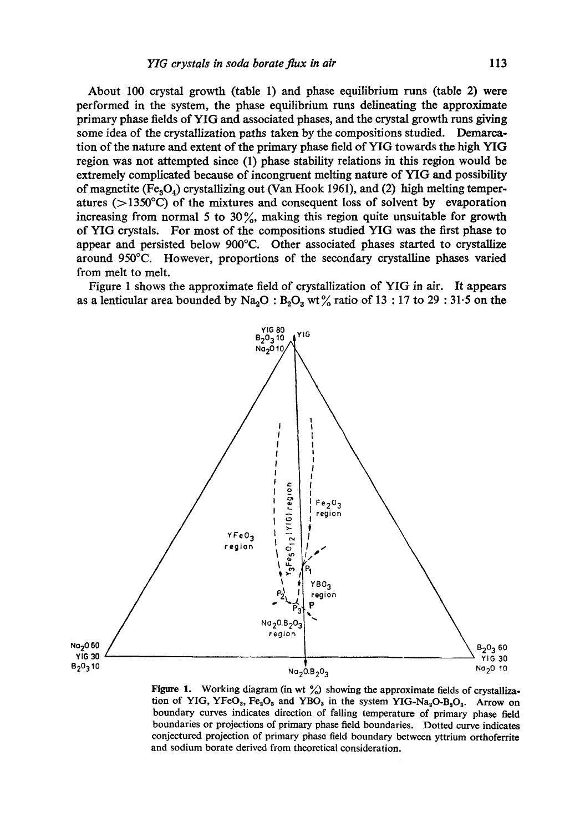**About 100 crystal growth (table 1) and phase equilibrium runs (table 2) were performed in the system, the phase equilibrium runs delineating the approximate primary phase fields of YIG and associated phases, and the crystal growth runs giving some idea of the crystallization paths taken by the compositions studied. Demarcation of the nature and extent of the primary phase field of YIG towards the high YIG region was not attempted since (1) phase stability relations in this region would be extremely complicated because of incongruent melting nature of YIG and possibility**  of magnetite (Fe<sub>a</sub>O<sub>4</sub>) crystallizing out (Van Hook 1961), and (2) high melting temper**atures (>1350°C) of the mixtures and consequent loss of solvent by evaporation increasing from normal 5 to 30 %, making this region quite unsuitable for growth of YIG crystals. For most of the compositions studied YIG was the first phase to appear and persisted below 900°C. Other associated phases started to crystallize around 950°C. However, proportions of the secondary crystalline phases varied from melt to melt.** 

**Figure I shows the approximate field of crystallization of YIG in air. It appears**  as a lenticular area bounded by  $\text{Na}_2\text{O}: B_2\text{O}_3$  wt% ratio of 13 : 17 to 29 : 31.5 on the



**Figure 1.** Working diagram (in wt %) showing the approximate fields of crystallization of YIG, YFeO<sub>3</sub>, Fe<sub>2</sub>O<sub>3</sub> and YBO<sub>3</sub> in the system YIG-Na<sub>2</sub>O-B<sub>2</sub>O<sub>3</sub>. Arrow on **boundary curves indicates direction of falling temperature of primary phase field boundaries or projections of primary phase field boundaries. Dotted curve indicates conjectured projection of primary phase field boundary between yttrium orthoferrite and sodium borate derived from theoretical consideration.**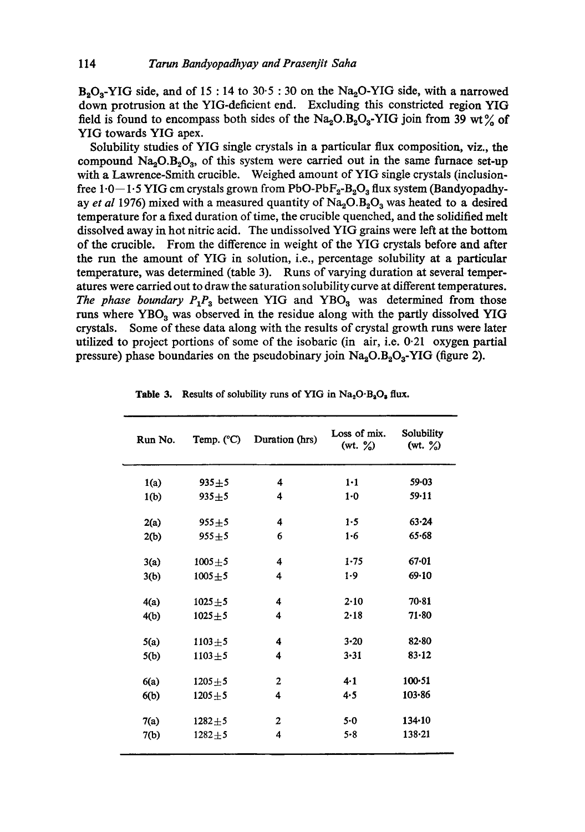$B<sub>a</sub>O<sub>o</sub>-YIG$  side, and of 15 : 14 to 30.5 : 30 on the Na<sub> $o$ </sub>O-YIG side, with a narrowed down protrusion at the YIG-deficient end. Excluding this constricted region YIG field is found to encompass both sides of the  $Na<sub>2</sub>OA<sub>2</sub>YIG$  join from 39 wt% of YIG towards YIG apex.

Solubility studies of YIG single crystals in a particular flux composition, viz., the compound  $Na<sub>2</sub>O.B<sub>2</sub>O<sub>3</sub>$ , of this system were carried out in the same furnace set-up with a Lawrence-Smith crucible. Weighed amount of YIG single crystals (inclusionfree  $1.0-1.5$  YIG cm crystals grown from PbO-PbF<sub>2</sub>-B<sub>2</sub>O<sub>3</sub> flux system (Bandyopadhyay *et al* 1976) mixed with a measured quantity of Na<sub>2</sub>O.B<sub>2</sub>O<sub>3</sub> was heated to a desired temperature for a fixed duration of time, the crucible quenched, and the solidified melt dissolved away in hot nitric acid. The undissolved YIG grains were left at the bottom of the crucible. From the difference in weight of the YIG crystals before and after the run the amount of YIG in solution, i.e., percentage solubility at a particular temperature, was determined (table 3). Runs of varying duration at several temperatures were carried out to draw the saturation solubility curve at different temperatures. *The phase boundary*  $P_1P_3$  *between YIG and YBO<sub>3</sub> was determined from those* runs where YBO<sub>3</sub> was observed in the residue along with the partly dissolved YIG crystals. Some of these data along with the results of crystal growth runs were later utilized to project portions of some of the isobaric (in air, i.e. 0.21 oxygen partial pressure) phase boundaries on the pseudobinary join  $Na_2O.B_2O_3$ -YIG (figure 2).

| Run No. | Temp. $(^{\circ}C)$ | Duration (hrs)   | Loss of mix.<br>$(wt. \%)$ | Solubility<br>(wt. $\frac{9}{20}$ ) |
|---------|---------------------|------------------|----------------------------|-------------------------------------|
| 1(a)    | $935 + 5$           | 4                | $1-1$                      | 59.03                               |
| 1(b)    | $935 + 5$           | 4                | $1-0$                      | 59.11                               |
| 2(a)    | $955 + 5$           | 4                | 1.5                        | 63.24                               |
| 2(b)    | $955 + 5$           | 6                | $1-6$                      | $65 - 68$                           |
| 3(a)    | $1005 + 5$          | 4                | 1.75                       | $67 - 01$                           |
| 3(b)    | $1005 + 5$          | 4                | $1-9$                      | 69.10                               |
| 4(a)    | $1025 + 5$          | 4                | 2.10                       | $70-81$                             |
| 4(b)    | $1025 + 5$          | 4                | 2.18                       | $71 - 80$                           |
| 5(a)    | $1103 + 5$          | 4                | $3 - 20$                   | $82 - 80$                           |
| 5(b)    | $1103 + 5$          | 4                | $3 - 31$                   | $83 - 12$                           |
| 6(a)    | $1205 + 5$          | $\overline{2}$   | $4-1$                      | $100 - 51$                          |
| 6(b)    | $1205 + 5$          | 4                | 4.5                        | $103 - 86$                          |
| 7(a)    | $1282 + 5$          | $\boldsymbol{2}$ | $5-0$                      | 134.10                              |
| 7(b)    | $1282 + 5$          | 4                | 5.8                        | $138 - 21$                          |
|         |                     |                  |                            |                                     |

Table 3. Results of solubility runs of YIG in  $Na<sub>2</sub>O<sub>2</sub>O<sub>8</sub>$  flux.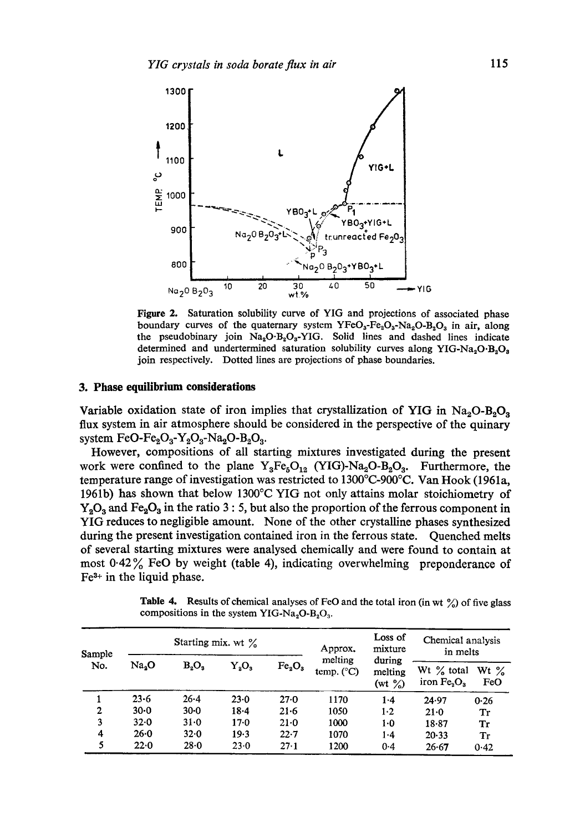

Figure 2. Saturation solubility curve of YIG and projections of associated phase boundary curves of the quaternary system  $YFeO<sub>3</sub>-Fe<sub>2</sub>O<sub>3</sub>-Na<sub>2</sub>O-B<sub>2</sub>O<sub>3</sub>$  in air, along the pseudobinary join  $Na<sub>2</sub>O<sub>3</sub>-YIG$ . Solid lines and dashed lines indicate determined and undertermined saturation solubility curves along YIG-Na<sub>2</sub>O·B<sub>2</sub>O<sub>3</sub> join respectively. Dotted lines are projections of phase boundaries.

## **3. Phase equilibrium considerations**

Variable oxidation state of iron implies that crystallization of YIG in  $Na<sub>2</sub>O-B<sub>2</sub>O<sub>3</sub>$ flux system in air atmosphere should be considered in the perspective of the quinary system FeO-Fe<sub>2</sub>O<sub>3</sub>-Y<sub>2</sub>O<sub>3</sub>-Na<sub>2</sub>O-B<sub>2</sub>O<sub>3</sub>.

However, compositions of all starting mixtures investigated during the present work were confined to the plane  $Y_3Fe_5O_{12}$  (YIG)-Na<sub>2</sub>O-B<sub>2</sub>O<sub>3</sub>. Furthermore, the temperature range of investigation was restricted to 1300°C-900°C. Van Hook (1961a, 1961b) has shown that below 1300°C YIG not only attains molar stoichiometry of  $Y_2O_3$  and Fe<sub>2</sub>O<sub>3</sub> in the ratio 3 : 5, but also the proportion of the ferrous component in YIG reduces to negligible amount. None of the other crystalline phases synthesized during the present investigation contained iron in the ferrous state. Quenched melts of several starting mixtures were analysed chemically and were found to contain at most  $0.42\%$  FeO by weight (table 4), indicating overwhelming preponderance of  $Fe<sup>3+</sup>$  in the liquid phase.

**Table 4.** Results of chemical analyses of FeO and the total iron (in wt  $\frac{\%}{\%}$ ) of five glass compositions in the system YIG-Na<sub>2</sub>O-B<sub>2</sub>O<sub>3</sub>.

| Sample<br>No. | Starting mix. wt $\%$ |          |          |                                | Approx.                        | Loss of<br>mixture              | Chemical analysis<br>in melts |                |
|---------------|-----------------------|----------|----------|--------------------------------|--------------------------------|---------------------------------|-------------------------------|----------------|
|               | Na <sub>3</sub> O     | $B_2O_3$ | $Y_2O_3$ | Fe <sub>2</sub> O <sub>3</sub> | melting<br>temp. $(^{\circ}C)$ | during<br>melting<br>(wt $\%$ ) | Wt $\%$ total<br>iron $Fe3O3$ | Wt $\%$<br>FeO |
|               | $23 - 6$              | $26 - 4$ | $23 - 0$ | $27 - 0$                       | 1170                           | $1-4$                           | 24.97                         | 0.26           |
| 2             | $30 - 0$              | $30 - 0$ | $18 - 4$ | $21 - 6$                       | 1050                           | $1-2$                           | $21 - 0$                      | Tr             |
| 3             | $32 - 0$              | 31.0     | $17 - 0$ | $21 - 0$                       | 1000                           | 1.0                             | 18.87                         | Tr             |
| 4             | $26 - 0$              | $32 - 0$ | 19.3     | $22 - 7$                       | 1070                           | 1.4                             | 20.33                         | Tr             |
| 5             | 22.0                  | $28 - 0$ | 23.0     | 27.1                           | 1200                           | 0.4                             | 26.67                         | 0.42           |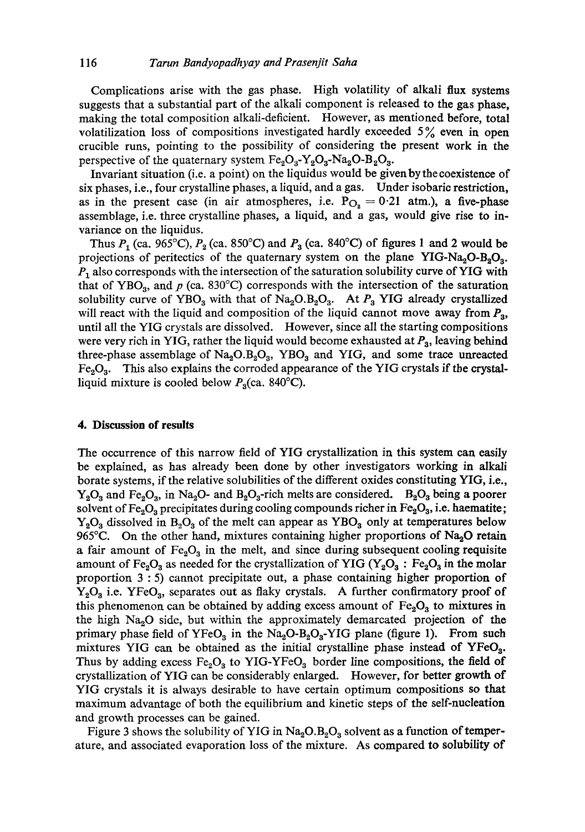Complications arise with the gas phase. High volatility of alkali flux systems suggests that a substantial part of the alkali component is released to the gas phase, making the total composition alkali-deficient. However, as mentioned before, total volatilization loss of compositions investigated hardly exceeded  $5\%$  even in open crucible runs, pointing to the possibility of considering the present work in the perspective of the quaternary system  $Fe_2O_3$ -Y<sub>2</sub>O<sub>3</sub>-Na<sub>2</sub>O-B<sub>2</sub>O<sub>3</sub>.

Invariant situation (i.e. a point) on the liquidus would be given by the coexistence of six phases, i.e., four crystalline phases, a liquid, and a gas. Under isobaric restriction, as in the present case (in air atmospheres, i.e.  $P_{O_2} = 0.21$  atm.), a five-phase assemblage, i.e. three crystalline phases, a liquid, and a gas, would give rise to invariance on the liquidus.

Thus  $P_1$  (ca. 965°C),  $P_2$  (ca. 850°C) and  $P_3$  (ca. 840°C) of figures 1 and 2 would be projections of peritectics of the quaternary system on the plane YIG-Na<sub>2</sub>O-B<sub>2</sub>O<sub>3</sub>.  $P_1$  also corresponds with the intersection of the saturation solubility curve of YIG with that of YBO<sub>3</sub>, and p (ca. 830°C) corresponds with the intersection of the saturation solubility curve of YBO<sub>3</sub> with that of Na<sub>2</sub>O.B<sub>2</sub>O<sub>3</sub>. At  $P_3$  YIG already crystallized will react with the liquid and composition of the liquid cannot move away from  $P_3$ , until all the YIG crystals are dissolved. However, since all the starting compositions were very rich in YIG, rather the liquid would become exhausted at  $P_3$ , leaving behind three-phase assemblage of  $\text{Na}_2\text{O}$ ,  $\text{O}_3$ ,  $\text{YBO}_3$  and YIG, and some trace unreacted  $Fe<sub>2</sub>O<sub>3</sub>$ . This also explains the corroded appearance of the YIG crystals if the crystalliquid mixture is cooled below  $P_3$ (ca. 840°C).

#### **4. Discussion of results**

The occurrence of this narrow field of YIG crystallization in this system can easily be explained, as has already been done by other investigators working in alkali borate systems, if the relative solubilities of the different oxides constituting YIG, i.e.,  $Y_2O_3$  and Fe<sub>2</sub>O<sub>3</sub>, in Na<sub>2</sub>O- and B<sub>2</sub>O<sub>3</sub>-rich melts are considered. B<sub>2</sub>O<sub>3</sub> being a poorer solvent of Fe<sub>2</sub>O<sub>3</sub> precipitates during cooling compounds richer in Fe<sub>2</sub>O<sub>3</sub>, i.e. haematite;  $Y_2O_3$  dissolved in  $B_2O_3$  of the melt can appear as  $YBO_3$  only at temperatures below 965°C. On the other hand, mixtures containing higher proportions of  $Na<sub>2</sub>O$  retain a fair amount of  $Fe<sub>2</sub>O<sub>3</sub>$  in the melt, and since during subsequent cooling requisite amount of Fe<sub>2</sub>O<sub>3</sub> as needed for the crystallization of YIG (Y<sub>2</sub>O<sub>3</sub>: Fe<sub>2</sub>O<sub>3</sub> in the molar proportion 3 : 5) cannot precipitate out, a phase containing higher proportion of  $Y_2O_3$  i.e. YFeO<sub>3</sub>, separates out as flaky crystals. A further confirmatory proof of this phenomenon can be obtained by adding excess amount of  $Fe<sub>2</sub>O<sub>3</sub>$  to mixtures in the high  $Na<sub>2</sub>O$  side, but within the approximately demarcated projection of the primary phase field of YFeO<sub>3</sub> in the Na<sub>2</sub>O-B<sub>2</sub>O<sub>3</sub>-YIG plane (figure 1). From such mixtures YIG can be obtained as the initial crystalline phase instead of  $YFeO<sub>3</sub>$ . Thus by adding excess  $Fe<sub>2</sub>O<sub>3</sub>$  to YIG-YFeO<sub>3</sub> border line compositions, the field of crystallization of YIG can be considerably enlarged. However, for better growth of YIG crystals it is always desirable to have certain optimum compositions so that maximum advantage of both the equilibrium and kinetic steps of the self-nucleation and growth processes can be gained.

Figure 3 shows the solubility of YIG in  $\text{Na}_2\text{O}_3$  as a function of temperature, and associated evaporation loss of the mixture. As compared to solubility of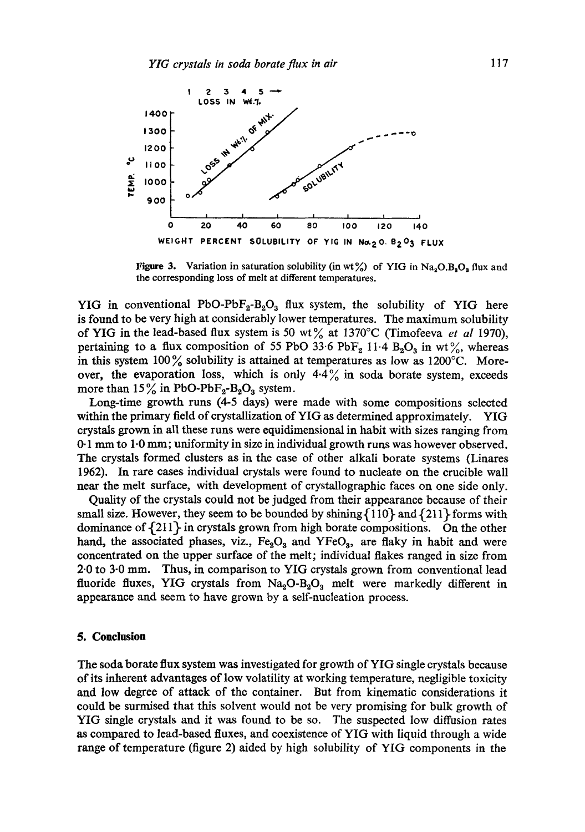

Figure 3. Variation in saturation solubility (in wt%) of YIG in  $Na_2O_3O_3$  flux and the corresponding loss of melt at different temperatures.

YIG in conventional PbO-Pb $F_2$ -B<sub>2</sub>O<sub>3</sub> flux system, the solubility of YIG here is found to be very high at considerably lower temperatures. The maximum solubility of YIG in the lead-based flux system is 50 wt $\%$  at 1370°C (Timofeeva *et al* 1970), pertaining to a flux composition of 55 PbO 33.6 PbF<sub>2</sub> 11.4 B<sub>2</sub>O<sub>3</sub> in wt%, whereas in this system  $100\%$  solubility is attained at temperatures as low as  $1200\textdegree C$ . Moreover, the evaporation loss, which is only  $4.4\%$  in soda borate system, exceeds more than  $15\%$  in PbO-PbF<sub>2</sub>-B<sub>2</sub>O<sub>3</sub> system.

Long-time growth runs (4-5 days) were made with some compositions selected within the primary field of crystallization of YIG as determined approximately. YIG crystals grown in all these runs were equidimensional in habit with sizes ranging from 0.1 mm to 1.0 mm; uniformity in size in individual growth runs was however observed. The crystals formed clusters as in the case of other alkali borate systems (Linares 1962). In rare cases individual crystals were found to nucleate on the crucible wall near the melt surface, with development of crystallographic faces on one side only.

Quality of the crystals could not be judged from their appearance because of their small size. However, they seem to be bounded by shining  $\{110\}$  and  $\{211\}$  forms with dominance of  $\{211\}$  in crystals grown from high borate compositions. On the other hand, the associated phases, viz.,  $Fe<sub>2</sub>O<sub>3</sub>$  and YFeO<sub>3</sub>, are flaky in habit and were concentrated on the upper surface of the melt; individual flakes ranged in size from 2.0 to 3.0 mm. Thus, in comparison to YIG crystals grown from conventional lead fluoride fluxes, YIG crystals from  $Na<sub>2</sub>O-B<sub>2</sub>O<sub>3</sub>$  melt were markedly different in appeazance and seem to have grown by a self-nucleation process.

#### **5. Conclusion**

The soda borate flux system was investigated for growth of YIG single crystals because of its inherent advantages of low volatility at working temperature, negligible toxicity and low degree of attack of the container. But from kinematic considerations it could be surmised that this solvent would not be very promising for bulk growth of YIG single crystals and it was found to be so. The suspected low diffusion rates as compared to lead-based fluxes, and coexistence of YIG with liquid through a wide range of temperature (figure 2) aided by high solubility of YIG components in the